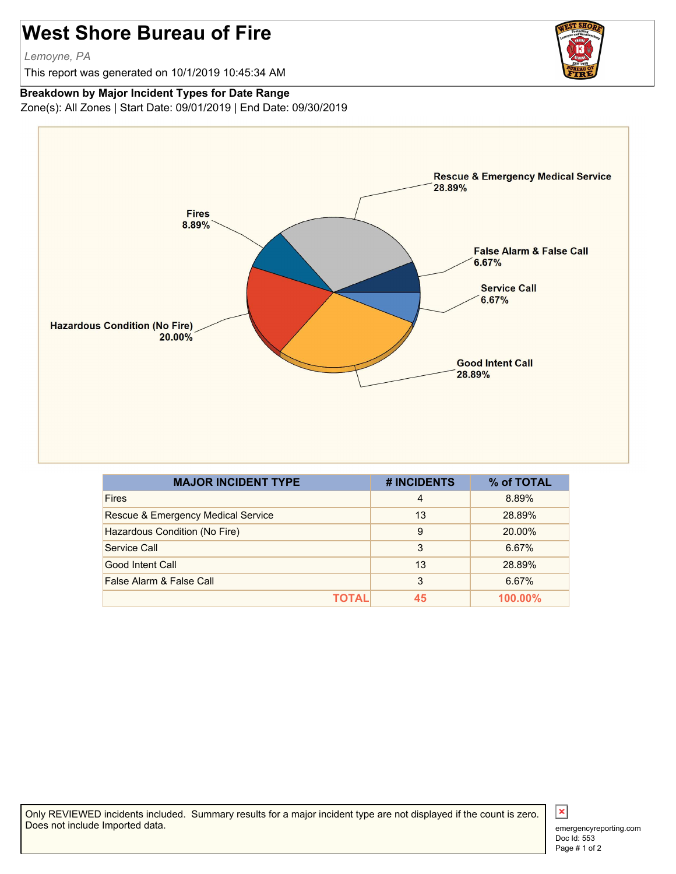## **West Shore Bureau of Fire**

*Lemoyne, PA*

This report was generated on 10/1/2019 10:45:34 AM

## **Breakdown by Major Incident Types for Date Range**

Zone(s): All Zones | Start Date: 09/01/2019 | End Date: 09/30/2019



| <b>MAJOR INCIDENT TYPE</b>         | # INCIDENTS    | % of TOTAL |
|------------------------------------|----------------|------------|
| <b>Fires</b>                       | $\overline{4}$ | 8.89%      |
| Rescue & Emergency Medical Service | 13             | 28.89%     |
| Hazardous Condition (No Fire)      | 9              | 20.00%     |
| Service Call                       | 3              | 6.67%      |
| Good Intent Call                   | 13             | 28.89%     |
| False Alarm & False Call           | 3              | 6.67%      |
| TOTAL                              | 45             | 100.00%    |

Only REVIEWED incidents included. Summary results for a major incident type are not displayed if the count is zero. Does not include Imported data.



 $\vert x \vert$